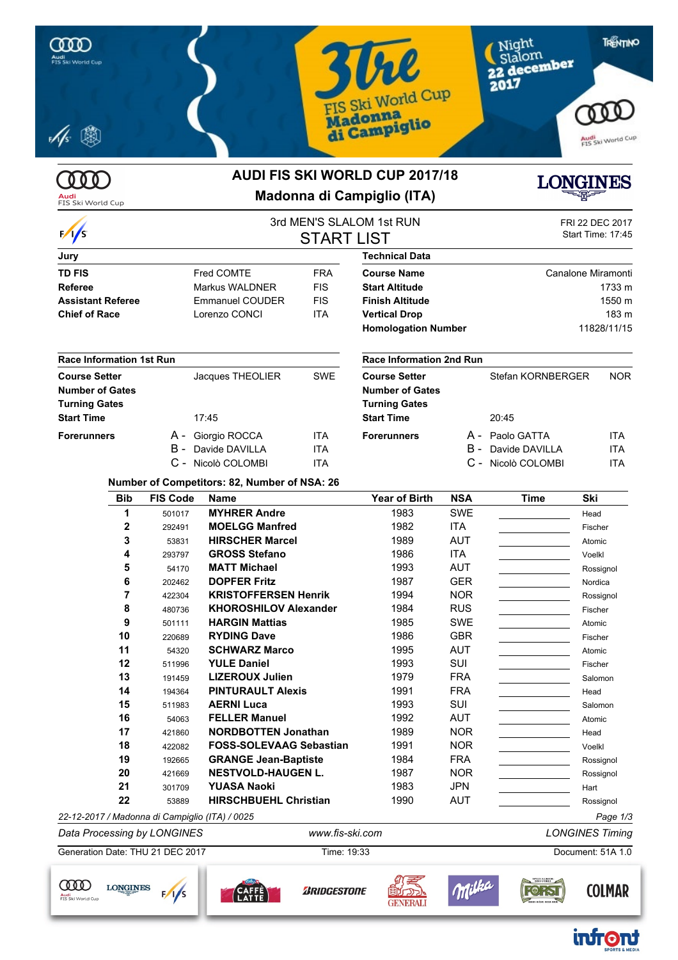



### **AUDI FIS SKI WORLD CUP 2017/18 Madonna di Campiglio (ITA)**



**COLMAR** 

infront

**FORST** 

|                                 |     |                    | <b>START LIST</b> | 3rd MEN'S SLALOM 1st RUN        |       | <b>FRI 22 DEC 2017</b><br>Start Time: 17:45 |             |  |
|---------------------------------|-----|--------------------|-------------------|---------------------------------|-------|---------------------------------------------|-------------|--|
| Jury                            |     |                    |                   | Technical Data                  |       |                                             |             |  |
| <b>TD FIS</b>                   |     | Fred COMTE         | <b>FRA</b>        | <b>Course Name</b>              |       | Canalone Miramonti                          |             |  |
| Referee                         |     | Markus WALDNER     | <b>FIS</b>        | <b>Start Altitude</b>           |       | 1733 m                                      |             |  |
| <b>Assistant Referee</b>        |     | Emmanuel COUDER    | <b>FIS</b>        | <b>Finish Altitude</b>          |       | 1550 m                                      |             |  |
| <b>Chief of Race</b>            |     | Lorenzo CONCI      | <b>ITA</b>        | <b>Vertical Drop</b>            | 183 m |                                             |             |  |
|                                 |     |                    |                   | <b>Homologation Number</b>      |       |                                             | 11828/11/15 |  |
| <b>Race Information 1st Run</b> |     |                    |                   | <b>Race Information 2nd Run</b> |       |                                             |             |  |
| <b>Course Setter</b>            |     | Jacques THEOLIER   | <b>SWE</b>        | <b>Course Setter</b>            |       | Stefan KORNBERGER                           | <b>NOR</b>  |  |
| <b>Number of Gates</b>          |     |                    |                   | <b>Number of Gates</b>          |       |                                             |             |  |
| <b>Turning Gates</b>            |     |                    |                   | <b>Turning Gates</b>            |       |                                             |             |  |
| <b>Start Time</b>               |     | 17:45              |                   | <b>Start Time</b>               |       | 20:45                                       |             |  |
| <b>Forerunners</b>              |     | A - Giorgio ROCCA  | <b>ITA</b>        | <b>Forerunners</b>              |       | A - Paolo GATTA                             | <b>ITA</b>  |  |
|                                 | B - | Davide DAVILLA     | <b>ITA</b>        |                                 | B -   | Davide DAVILLA                              | ITA         |  |
|                                 |     | C - Nicolò COLOMBI | <b>ITA</b>        |                                 |       | C - Nicolò COLOMBI                          | ITA         |  |

#### **Number of Competitors: 82, Number of NSA: 26**

| <b>Bib</b>                                     | <b>FIS Code</b> | <b>Name</b>                    | <b>Year of Birth</b> | <b>NSA</b> | <b>Time</b> | Ski       |
|------------------------------------------------|-----------------|--------------------------------|----------------------|------------|-------------|-----------|
| 1                                              | 501017          | <b>MYHRER Andre</b>            | 1983                 | <b>SWE</b> |             | Head      |
| $\mathbf{2}$                                   | 292491          | <b>MOELGG Manfred</b>          | 1982                 | ITA        |             | Fischer   |
| 3                                              | 53831           | <b>HIRSCHER Marcel</b>         | 1989                 | <b>AUT</b> |             | Atomic    |
| 4                                              | 293797          | <b>GROSS Stefano</b>           | 1986                 | ITA        |             | Voelkl    |
| 5                                              | 54170           | <b>MATT Michael</b>            | 1993                 | AUT        |             | Rossignol |
| 6                                              | 202462          | <b>DOPFER Fritz</b>            | 1987                 | <b>GER</b> |             | Nordica   |
|                                                | 422304          | <b>KRISTOFFERSEN Henrik</b>    | 1994                 | <b>NOR</b> |             | Rossignol |
| 8                                              | 480736          | <b>KHOROSHILOV Alexander</b>   | 1984                 | <b>RUS</b> |             | Fischer   |
| 9                                              | 501111          | <b>HARGIN Mattias</b>          | 1985                 | SWE        |             | Atomic    |
| 10                                             | 220689          | <b>RYDING Dave</b>             | 1986                 | <b>GBR</b> |             | Fischer   |
| 11                                             | 54320           | <b>SCHWARZ Marco</b>           | 1995                 | <b>AUT</b> |             | Atomic    |
| 12                                             | 511996          | <b>YULE Daniel</b>             | 1993                 | <b>SUI</b> |             | Fischer   |
| 13                                             | 191459          | <b>LIZEROUX Julien</b>         | 1979                 | <b>FRA</b> |             | Salomon   |
| 14                                             | 194364          | <b>PINTURAULT Alexis</b>       | 1991                 | <b>FRA</b> |             | Head      |
| 15                                             | 511983          | <b>AERNI Luca</b>              | 1993                 | <b>SUI</b> |             | Salomon   |
| 16                                             | 54063           | <b>FELLER Manuel</b>           | 1992                 | <b>AUT</b> |             | Atomic    |
| 17                                             | 421860          | <b>NORDBOTTEN Jonathan</b>     | 1989                 | <b>NOR</b> |             | Head      |
| 18                                             | 422082          | <b>FOSS-SOLEVAAG Sebastian</b> | 1991                 | <b>NOR</b> |             | Voelkl    |
| 19                                             | 192665          | <b>GRANGE Jean-Baptiste</b>    | 1984                 | <b>FRA</b> |             | Rossignol |
| 20                                             | 421669          | <b>NESTVOLD-HAUGEN L.</b>      | 1987                 | <b>NOR</b> |             | Rossignol |
| 21                                             | 301709          | <b>YUASA Naoki</b>             | 1983                 | JPN        |             | Hart      |
| 22                                             | 53889           | <b>HIRSCHBUEHL Christian</b>   | 1990                 | <b>AUT</b> |             | Rossignol |
| 22-12-2017 / Madonna di Campiglio (ITA) / 0025 |                 |                                |                      |            |             | Page 1/3  |

*Data Processing by LONGINES www.fis-ski.com LONGINES Timing* Generation Date: THU 21 DEC 2017 Time: 19:33 Document: 51A 1.0 Milka SPEZIALBIER-<br>BRAUEREI

**GENERALI** 

**ZRIDGESTONE** 



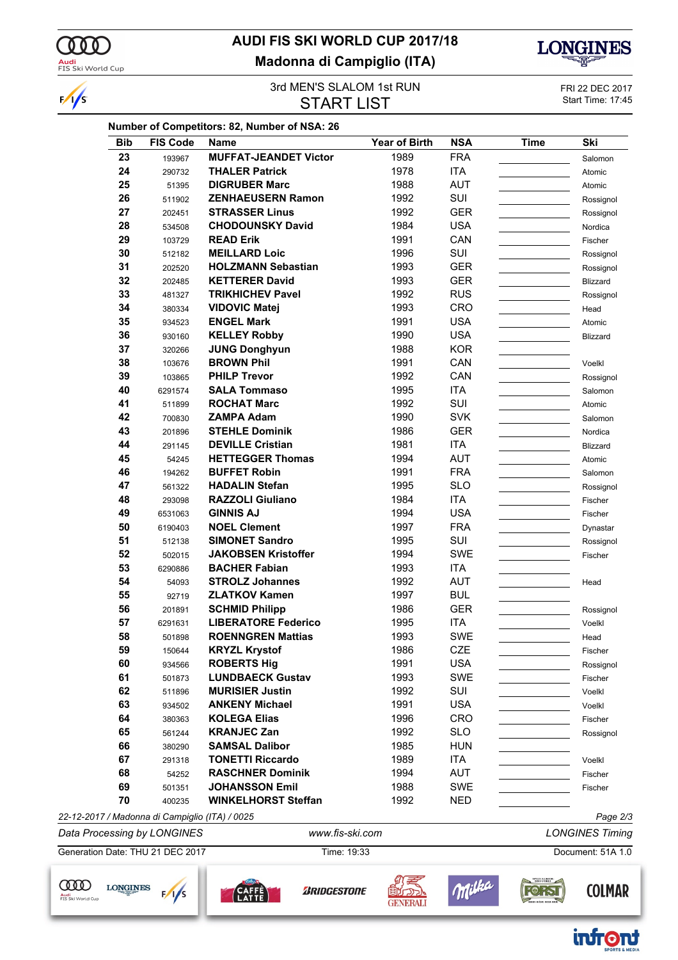

 $\sqrt{s}$ 

## **AUDI FIS SKI WORLD CUP 2017/18 Madonna di Campiglio (ITA)**



#### 3rd MEN'S SLALOM 1st RUN<br>
START I IST START START START START START I **START LIST**

| <b>Bib</b> | <b>FIS Code</b>                                | <b>Name</b>                  | <b>Year of Birth</b> | <b>NSA</b> | Time | Ski                    |
|------------|------------------------------------------------|------------------------------|----------------------|------------|------|------------------------|
| 23         | 193967                                         | <b>MUFFAT-JEANDET Victor</b> | 1989                 | <b>FRA</b> |      | Salomon                |
| 24         | 290732                                         | <b>THALER Patrick</b>        | 1978                 | <b>ITA</b> |      | Atomic                 |
| 25         | 51395                                          | <b>DIGRUBER Marc</b>         | 1988                 | <b>AUT</b> |      | Atomic                 |
| 26         | 511902                                         | <b>ZENHAEUSERN Ramon</b>     | 1992                 | SUI        |      | Rossignol              |
| 27         | 202451                                         | <b>STRASSER Linus</b>        | 1992                 | <b>GER</b> |      | Rossignol              |
| 28         | 534508                                         | <b>CHODOUNSKY David</b>      | 1984                 | <b>USA</b> |      | Nordica                |
| 29         | 103729                                         | <b>READ Erik</b>             | 1991                 | CAN        |      | Fischer                |
| 30         | 512182                                         | <b>MEILLARD Loic</b>         | 1996                 | SUI        |      | Rossignol              |
| 31         | 202520                                         | <b>HOLZMANN Sebastian</b>    | 1993                 | <b>GER</b> |      | Rossignol              |
| 32         | 202485                                         | <b>KETTERER David</b>        | 1993                 | <b>GER</b> |      | Blizzard               |
| 33         | 481327                                         | <b>TRIKHICHEV Pavel</b>      | 1992                 | <b>RUS</b> |      | Rossignol              |
| 34         | 380334                                         | <b>VIDOVIC Matej</b>         | 1993                 | CRO        |      | Head                   |
| 35         | 934523                                         | <b>ENGEL Mark</b>            | 1991                 | <b>USA</b> |      | Atomic                 |
| 36         | 930160                                         | <b>KELLEY Robby</b>          | 1990                 | <b>USA</b> |      | Blizzard               |
| 37         | 320266                                         | <b>JUNG Donghyun</b>         | 1988                 | <b>KOR</b> |      |                        |
| 38         | 103676                                         | <b>BROWN Phil</b>            | 1991                 | CAN        |      | Voelkl                 |
| 39         |                                                | <b>PHILP Trevor</b>          | 1992                 | CAN        |      |                        |
| 40         | 103865                                         | <b>SALA Tommaso</b>          | 1995                 | <b>ITA</b> |      | Rossignol              |
| 41         | 6291574                                        | <b>ROCHAT Marc</b>           | 1992                 | SUI        |      | Salomon                |
| 42         | 511899                                         | <b>ZAMPA Adam</b>            |                      | <b>SVK</b> |      | Atomic                 |
|            | 700830                                         |                              | 1990                 |            |      | Salomon                |
| 43         | 201896                                         | <b>STEHLE Dominik</b>        | 1986                 | <b>GER</b> |      | Nordica                |
| 44         | 291145                                         | <b>DEVILLE Cristian</b>      | 1981                 | <b>ITA</b> |      | Blizzard               |
| 45         | 54245                                          | <b>HETTEGGER Thomas</b>      | 1994                 | <b>AUT</b> |      | Atomic                 |
| 46         | 194262                                         | <b>BUFFET Robin</b>          | 1991                 | <b>FRA</b> |      | Salomon                |
| 47         | 561322                                         | <b>HADALIN Stefan</b>        | 1995                 | <b>SLO</b> |      | Rossignol              |
| 48         | 293098                                         | <b>RAZZOLI Giuliano</b>      | 1984                 | <b>ITA</b> |      | Fischer                |
| 49         | 6531063                                        | <b>GINNIS AJ</b>             | 1994                 | <b>USA</b> |      | Fischer                |
| 50         | 6190403                                        | <b>NOEL Clement</b>          | 1997                 | <b>FRA</b> |      | Dynastar               |
| 51         | 512138                                         | <b>SIMONET Sandro</b>        | 1995                 | SUI        |      | Rossignol              |
| 52         | 502015                                         | <b>JAKOBSEN Kristoffer</b>   | 1994                 | <b>SWE</b> |      | Fischer                |
| 53         | 6290886                                        | <b>BACHER Fabian</b>         | 1993                 | <b>ITA</b> |      |                        |
| 54         | 54093                                          | <b>STROLZ Johannes</b>       | 1992                 | <b>AUT</b> |      | Head                   |
| 55         | 92719                                          | <b>ZLATKOV Kamen</b>         | 1997                 | <b>BUL</b> |      |                        |
| 56         | 201891                                         | <b>SCHMID Philipp</b>        | 1986                 | <b>GER</b> |      | Rossignol              |
| 57         | 6291631                                        | <b>LIBERATORE Federico</b>   | 1995                 | <b>ITA</b> |      | Voelkl                 |
| 58         | 501898                                         | <b>ROENNGREN Mattias</b>     | 1993                 | <b>SWE</b> |      | Head                   |
| 59         | 150644                                         | <b>KRYZL Krystof</b>         | 1986                 | CZE        |      | Fischer                |
| 60         | 934566                                         | <b>ROBERTS Hig</b>           | 1991                 | <b>USA</b> |      | Rossignol              |
| 61         | 501873                                         | <b>LUNDBAECK Gustav</b>      | 1993                 | SWE        |      | Fischer                |
| 62         | 511896                                         | <b>MURISIER Justin</b>       | 1992                 | SUI        |      | Voelkl                 |
| 63         | 934502                                         | <b>ANKENY Michael</b>        | 1991                 | <b>USA</b> |      | Voelkl                 |
| 64         | 380363                                         | <b>KOLEGA Elias</b>          | 1996                 | CRO        |      | Fischer                |
| 65         | 561244                                         | <b>KRANJEC Zan</b>           | 1992                 | <b>SLO</b> |      | Rossignol              |
| 66         | 380290                                         | <b>SAMSAL Dalibor</b>        | 1985                 | <b>HUN</b> |      |                        |
| 67         | 291318                                         | <b>TONETTI Riccardo</b>      | 1989                 | ITA        |      | Voelkl                 |
| 68         | 54252                                          | <b>RASCHNER Dominik</b>      | 1994                 | <b>AUT</b> |      |                        |
| 69         |                                                | <b>JOHANSSON Emil</b>        | 1988                 | SWE        |      | Fischer                |
|            | 501351                                         |                              |                      |            |      | Fischer                |
| 70         | 400235                                         | <b>WINKELHORST Steffan</b>   | 1992                 | <b>NED</b> |      |                        |
|            | 22-12-2017 / Madonna di Campiglio (ITA) / 0025 |                              |                      |            |      | Page 2/3               |
|            | Data Processing by LONGINES                    | www.fis-ski.com              |                      |            |      | <b>LONGINES Timing</b> |











廟